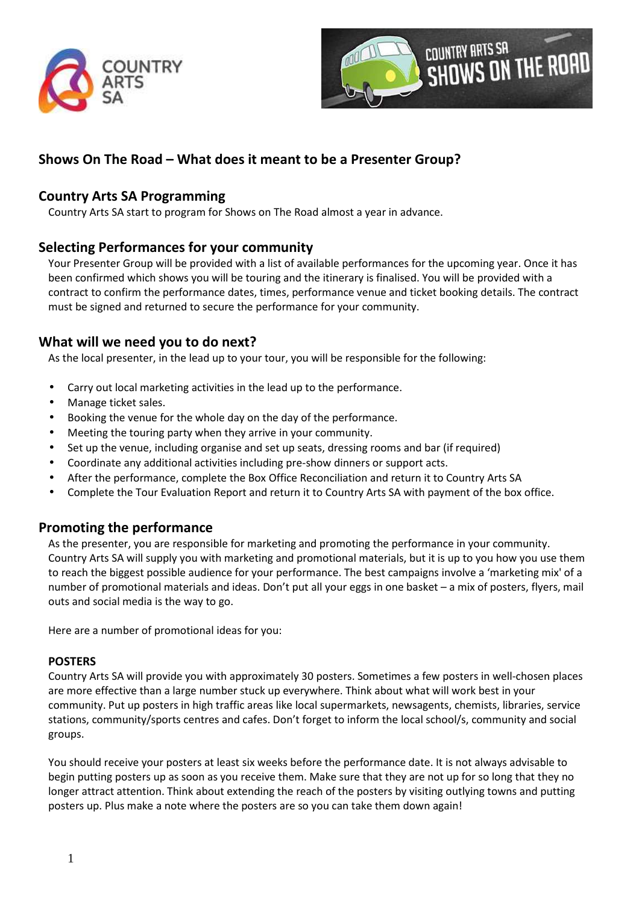



# **Shows On The Road – What does it meant to be a Presenter Group?**

# **Country Arts SA Programming**

Country Arts SA start to program for Shows on The Road almost a year in advance.

# **Selecting Performances for your community**

Your Presenter Group will be provided with a list of available performances for the upcoming year. Once it has been confirmed which shows you will be touring and the itinerary is finalised. You will be provided with a contract to confirm the performance dates, times, performance venue and ticket booking details. The contract must be signed and returned to secure the performance for your community.

# **What will we need you to do next?**

As the local presenter, in the lead up to your tour, you will be responsible for the following:

- Carry out local marketing activities in the lead up to the performance.
- Manage ticket sales.
- Booking the venue for the whole day on the day of the performance.
- Meeting the touring party when they arrive in your community.
- Set up the venue, including organise and set up seats, dressing rooms and bar (if required)
- Coordinate any additional activities including pre-show dinners or support acts.
- After the performance, complete the Box Office Reconciliation and return it to Country Arts SA
- Complete the Tour Evaluation Report and return it to Country Arts SA with payment of the box office.

# **Promoting the performance**

As the presenter, you are responsible for marketing and promoting the performance in your community. Country Arts SA will supply you with marketing and promotional materials, but it is up to you how you use them to reach the biggest possible audience for your performance. The best campaigns involve a 'marketing mix' of a number of promotional materials and ideas. Don't put all your eggs in one basket – a mix of posters, flyers, mail outs and social media is the way to go.

Here are a number of promotional ideas for you:

## **POSTERS**

Country Arts SA will provide you with approximately 30 posters. Sometimes a few posters in well-chosen places are more effective than a large number stuck up everywhere. Think about what will work best in your community. Put up posters in high traffic areas like local supermarkets, newsagents, chemists, libraries, service stations, community/sports centres and cafes. Don't forget to inform the local school/s, community and social groups.

You should receive your posters at least six weeks before the performance date. It is not always advisable to begin putting posters up as soon as you receive them. Make sure that they are not up for so long that they no longer attract attention. Think about extending the reach of the posters by visiting outlying towns and putting posters up. Plus make a note where the posters are so you can take them down again!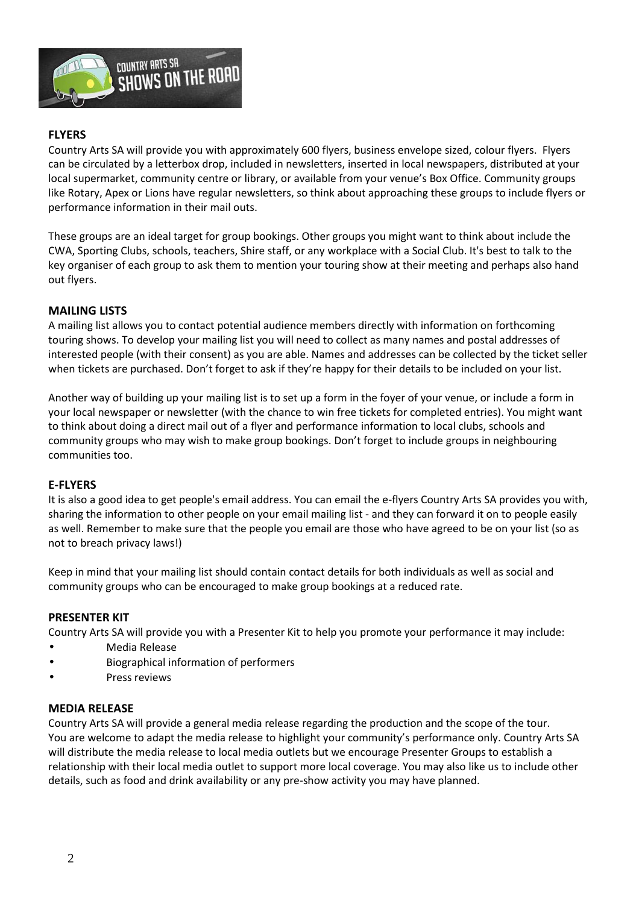

## **FLYERS**

Country Arts SA will provide you with approximately 600 flyers, business envelope sized, colour flyers. Flyers can be circulated by a letterbox drop, included in newsletters, inserted in local newspapers, distributed at your local supermarket, community centre or library, or available from your venue's Box Office. Community groups like Rotary, Apex or Lions have regular newsletters, so think about approaching these groups to include flyers or performance information in their mail outs.

These groups are an ideal target for group bookings. Other groups you might want to think about include the CWA, Sporting Clubs, schools, teachers, Shire staff, or any workplace with a Social Club. It's best to talk to the key organiser of each group to ask them to mention your touring show at their meeting and perhaps also hand out flyers.

## **MAILING LISTS**

A mailing list allows you to contact potential audience members directly with information on forthcoming touring shows. To develop your mailing list you will need to collect as many names and postal addresses of interested people (with their consent) as you are able. Names and addresses can be collected by the ticket seller when tickets are purchased. Don't forget to ask if they're happy for their details to be included on your list.

Another way of building up your mailing list is to set up a form in the foyer of your venue, or include a form in your local newspaper or newsletter (with the chance to win free tickets for completed entries). You might want to think about doing a direct mail out of a flyer and performance information to local clubs, schools and community groups who may wish to make group bookings. Don't forget to include groups in neighbouring communities too.

#### **E-FLYERS**

It is also a good idea to get people's email address. You can email the e-flyers Country Arts SA provides you with, sharing the information to other people on your email mailing list - and they can forward it on to people easily as well. Remember to make sure that the people you email are those who have agreed to be on your list (so as not to breach privacy laws!)

Keep in mind that your mailing list should contain contact details for both individuals as well as social and community groups who can be encouraged to make group bookings at a reduced rate.

#### **PRESENTER KIT**

Country Arts SA will provide you with a Presenter Kit to help you promote your performance it may include:

- Media Release
- Biographical information of performers
- Press reviews

#### **MEDIA RELEASE**

Country Arts SA will provide a general media release regarding the production and the scope of the tour. You are welcome to adapt the media release to highlight your community's performance only. Country Arts SA will distribute the media release to local media outlets but we encourage Presenter Groups to establish a relationship with their local media outlet to support more local coverage. You may also like us to include other details, such as food and drink availability or any pre-show activity you may have planned.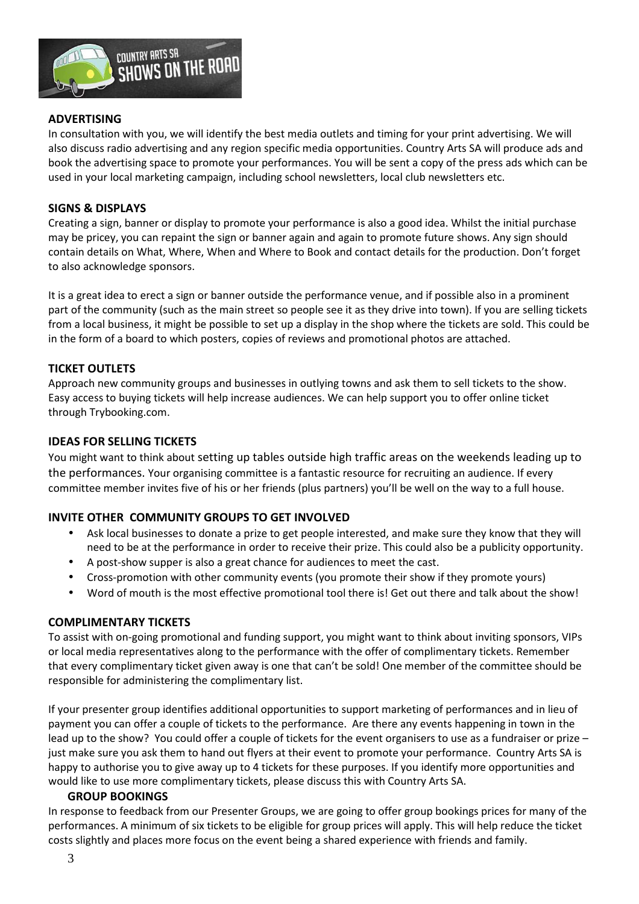

## **ADVERTISING**

In consultation with you, we will identify the best media outlets and timing for your print advertising. We will also discuss radio advertising and any region specific media opportunities. Country Arts SA will produce ads and book the advertising space to promote your performances. You will be sent a copy of the press ads which can be used in your local marketing campaign, including school newsletters, local club newsletters etc.

## **SIGNS & DISPLAYS**

Creating a sign, banner or display to promote your performance is also a good idea. Whilst the initial purchase may be pricey, you can repaint the sign or banner again and again to promote future shows. Any sign should contain details on What, Where, When and Where to Book and contact details for the production. Don't forget to also acknowledge sponsors.

It is a great idea to erect a sign or banner outside the performance venue, and if possible also in a prominent part of the community (such as the main street so people see it as they drive into town). If you are selling tickets from a local business, it might be possible to set up a display in the shop where the tickets are sold. This could be in the form of a board to which posters, copies of reviews and promotional photos are attached.

## **TICKET OUTLETS**

Approach new community groups and businesses in outlying towns and ask them to sell tickets to the show. Easy access to buying tickets will help increase audiences. We can help support you to offer online ticket through Trybooking.com.

## **IDEAS FOR SELLING TICKETS**

You might want to think about setting up tables outside high traffic areas on the weekends leading up to the performances. Your organising committee is a fantastic resource for recruiting an audience. If every committee member invites five of his or her friends (plus partners) you'll be well on the way to a full house.

## **INVITE OTHER COMMUNITY GROUPS TO GET INVOLVED**

- Ask local businesses to donate a prize to get people interested, and make sure they know that they will need to be at the performance in order to receive their prize. This could also be a publicity opportunity.
- A post-show supper is also a great chance for audiences to meet the cast.
- Cross-promotion with other community events (you promote their show if they promote yours)
- Word of mouth is the most effective promotional tool there is! Get out there and talk about the show!

## **COMPLIMENTARY TICKETS**

To assist with on-going promotional and funding support, you might want to think about inviting sponsors, VIPs or local media representatives along to the performance with the offer of complimentary tickets. Remember that every complimentary ticket given away is one that can't be sold! One member of the committee should be responsible for administering the complimentary list.

If your presenter group identifies additional opportunities to support marketing of performances and in lieu of payment you can offer a couple of tickets to the performance. Are there any events happening in town in the lead up to the show? You could offer a couple of tickets for the event organisers to use as a fundraiser or prize – just make sure you ask them to hand out flyers at their event to promote your performance. Country Arts SA is happy to authorise you to give away up to 4 tickets for these purposes. If you identify more opportunities and would like to use more complimentary tickets, please discuss this with Country Arts SA.

## **GROUP BOOKINGS**

In response to feedback from our Presenter Groups, we are going to offer group bookings prices for many of the performances. A minimum of six tickets to be eligible for group prices will apply. This will help reduce the ticket costs slightly and places more focus on the event being a shared experience with friends and family.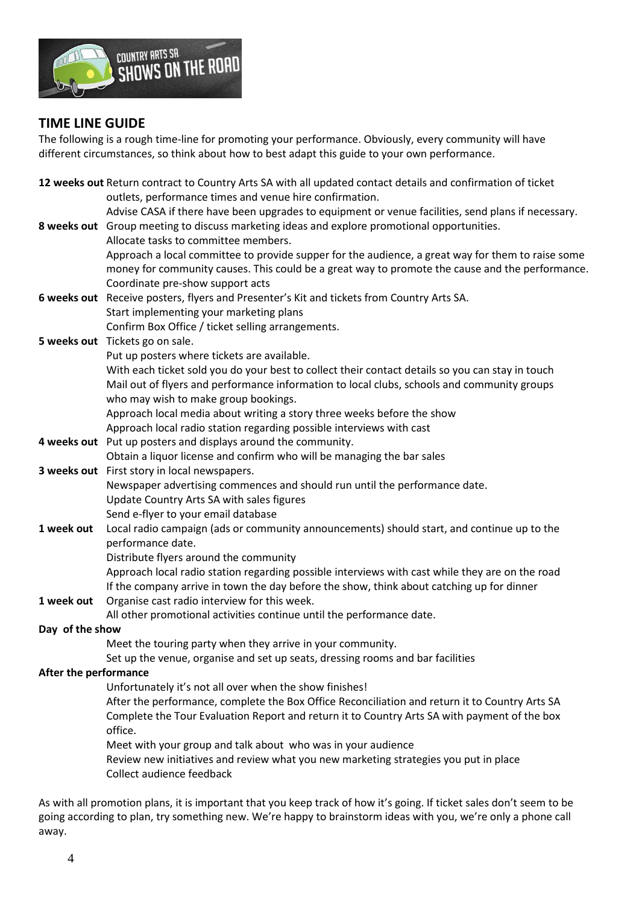

# **TIME LINE GUIDE**

The following is a rough time-line for promoting your performance. Obviously, every community will have different circumstances, so think about how to best adapt this guide to your own performance.

**12 weeks out** Return contract to Country Arts SA with all updated contact details and confirmation of ticket outlets, performance times and venue hire confirmation. Advise CASA if there have been upgrades to equipment or venue facilities, send plans if necessary. **8 weeks out** Group meeting to discuss marketing ideas and explore promotional opportunities. Allocate tasks to committee members. Approach a local committee to provide supper for the audience, a great way for them to raise some money for community causes. This could be a great way to promote the cause and the performance. Coordinate pre-show support acts **6 weeks out** Receive posters, flyers and Presenter's Kit and tickets from Country Arts SA. Start implementing your marketing plans Confirm Box Office / ticket selling arrangements. **5 weeks out** Tickets go on sale. Put up posters where tickets are available. With each ticket sold you do your best to collect their contact details so you can stay in touch Mail out of flyers and performance information to local clubs, schools and community groups who may wish to make group bookings. Approach local media about writing a story three weeks before the show Approach local radio station regarding possible interviews with cast **4 weeks out** Put up posters and displays around the community. Obtain a liquor license and confirm who will be managing the bar sales **3 weeks out** First story in local newspapers. Newspaper advertising commences and should run until the performance date. Update Country Arts SA with sales figures Send e-flyer to your email database **1 week out** Local radio campaign (ads or community announcements) should start, and continue up to the performance date. Distribute flyers around the community Approach local radio station regarding possible interviews with cast while they are on the road If the company arrive in town the day before the show, think about catching up for dinner **1 week out** Organise cast radio interview for this week. All other promotional activities continue until the performance date. **Day of the show**  Meet the touring party when they arrive in your community. Set up the venue, organise and set up seats, dressing rooms and bar facilities **After the performance**  Unfortunately it's not all over when the show finishes! After the performance, complete the Box Office Reconciliation and return it to Country Arts SA Complete the Tour Evaluation Report and return it to Country Arts SA with payment of the box office. Meet with your group and talk about who was in your audience Review new initiatives and review what you new marketing strategies you put in place Collect audience feedback

As with all promotion plans, it is important that you keep track of how it's going. If ticket sales don't seem to be going according to plan, try something new. We're happy to brainstorm ideas with you, we're only a phone call away.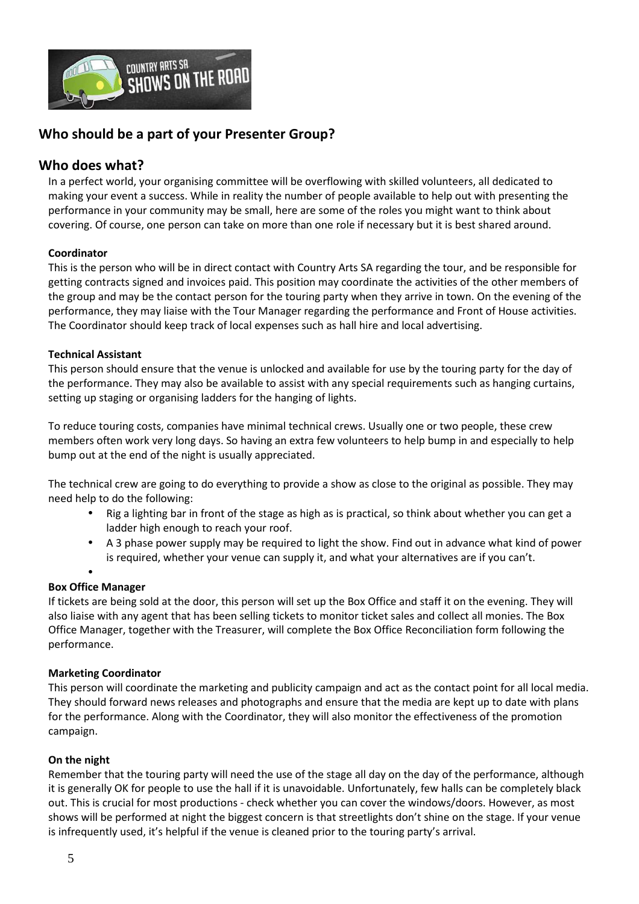

# **Who should be a part of your Presenter Group?**

## **Who does what?**

In a perfect world, your organising committee will be overflowing with skilled volunteers, all dedicated to making your event a success. While in reality the number of people available to help out with presenting the performance in your community may be small, here are some of the roles you might want to think about covering. Of course, one person can take on more than one role if necessary but it is best shared around.

## **Coordinator**

This is the person who will be in direct contact with Country Arts SA regarding the tour, and be responsible for getting contracts signed and invoices paid. This position may coordinate the activities of the other members of the group and may be the contact person for the touring party when they arrive in town. On the evening of the performance, they may liaise with the Tour Manager regarding the performance and Front of House activities. The Coordinator should keep track of local expenses such as hall hire and local advertising.

## **Technical Assistant**

This person should ensure that the venue is unlocked and available for use by the touring party for the day of the performance. They may also be available to assist with any special requirements such as hanging curtains, setting up staging or organising ladders for the hanging of lights.

To reduce touring costs, companies have minimal technical crews. Usually one or two people, these crew members often work very long days. So having an extra few volunteers to help bump in and especially to help bump out at the end of the night is usually appreciated.

The technical crew are going to do everything to provide a show as close to the original as possible. They may need help to do the following:

- Rig a lighting bar in front of the stage as high as is practical, so think about whether you can get a ladder high enough to reach your roof.
- A 3 phase power supply may be required to light the show. Find out in advance what kind of power is required, whether your venue can supply it, and what your alternatives are if you can't.

#### •

## **Box Office Manager**

If tickets are being sold at the door, this person will set up the Box Office and staff it on the evening. They will also liaise with any agent that has been selling tickets to monitor ticket sales and collect all monies. The Box Office Manager, together with the Treasurer, will complete the Box Office Reconciliation form following the performance.

## **Marketing Coordinator**

This person will coordinate the marketing and publicity campaign and act as the contact point for all local media. They should forward news releases and photographs and ensure that the media are kept up to date with plans for the performance. Along with the Coordinator, they will also monitor the effectiveness of the promotion campaign.

#### **On the night**

Remember that the touring party will need the use of the stage all day on the day of the performance, although it is generally OK for people to use the hall if it is unavoidable. Unfortunately, few halls can be completely black out. This is crucial for most productions - check whether you can cover the windows/doors. However, as most shows will be performed at night the biggest concern is that streetlights don't shine on the stage. If your venue is infrequently used, it's helpful if the venue is cleaned prior to the touring party's arrival.